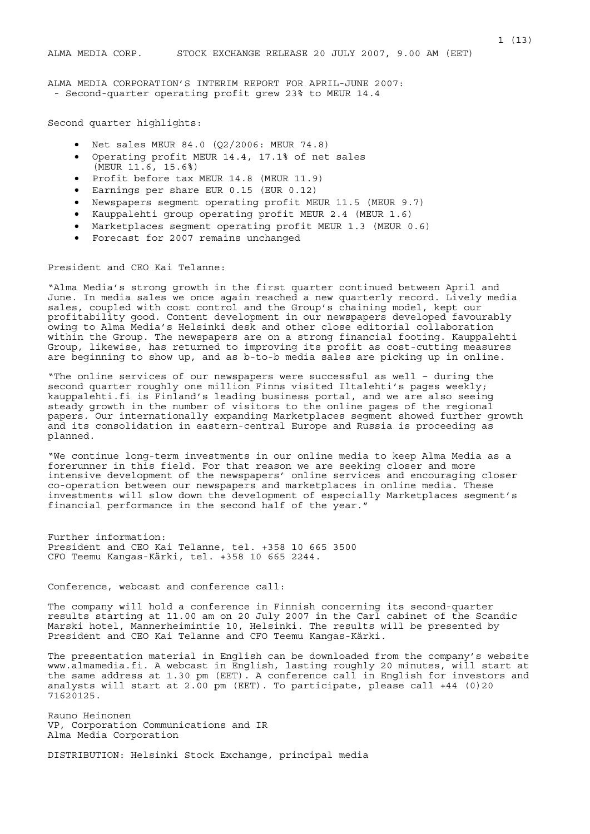ALMA MEDIA CORPORATION'S INTERIM REPORT FOR APRIL-JUNE 2007: - Second-quarter operating profit grew 23% to MEUR 14.4

Second quarter highlights:

- Net sales MEUR 84.0 (Q2/2006: MEUR 74.8)
- Operating profit MEUR 14.4, 17.1% of net sales (MEUR 11.6, 15.6%)
- Profit before tax MEUR 14.8 (MEUR 11.9)
- Earnings per share EUR 0.15 (EUR 0.12)
- Newspapers segment operating profit MEUR 11.5 (MEUR 9.7)
- Kauppalehti group operating profit MEUR 2.4 (MEUR 1.6)
- Marketplaces segment operating profit MEUR 1.3 (MEUR 0.6)
- Forecast for 2007 remains unchanged

President and CEO Kai Telanne:

"Alma Media's strong growth in the first quarter continued between April and June. In media sales we once again reached a new quarterly record. Lively media sales, coupled with cost control and the Group's chaining model, kept our profitability good. Content development in our newspapers developed favourably owing to Alma Media's Helsinki desk and other close editorial collaboration within the Group. The newspapers are on a strong financial footing. Kauppalehti Group, likewise, has returned to improving its profit as cost-cutting measures are beginning to show up, and as b-to-b media sales are picking up in online.

"The online services of our newspapers were successful as well – during the second quarter roughly one million Finns visited Iltalehti's pages weekly: kauppalehti.fi is Finland's leading business portal, and we are also seeing steady growth in the number of visitors to the online pages of the regional papers. Our internationally expanding Marketplaces segment showed further growth and its consolidation in eastern-central Europe and Russia is proceeding as planned.

"We continue long-term investments in our online media to keep Alma Media as a forerunner in this field. For that reason we are seeking closer and more intensive development of the newspapers' online services and encouraging closer co-operation between our newspapers and marketplaces in online media. These investments will slow down the development of especially Marketplaces segment's financial performance in the second half of the year."

Further information: President and CEO Kai Telanne, tel. +358 10 665 3500 CFO Teemu Kangas-Kärki, tel. +358 10 665 2244.

Conference, webcast and conference call:

The company will hold a conference in Finnish concerning its second-quarter results starting at 11.00 am on 20 July 2007 in the Carl cabinet of the Scandic Marski hotel, Mannerheimintie 10, Helsinki. The results will be presented by President and CEO Kai Telanne and CFO Teemu Kangas-Kärki.

The presentation material in English can be downloaded from the company's website www.almamedia.fi. A webcast in English, lasting roughly 20 minutes, will start at the same address at 1.30 pm (EET). A conference call in English for investors and analysts will start at 2.00 pm (EET). To participate, please call +44 (0)20 71620125.

Rauno Heinonen VP, Corporation Communications and IR Alma Media Corporation

DISTRIBUTION: Helsinki Stock Exchange, principal media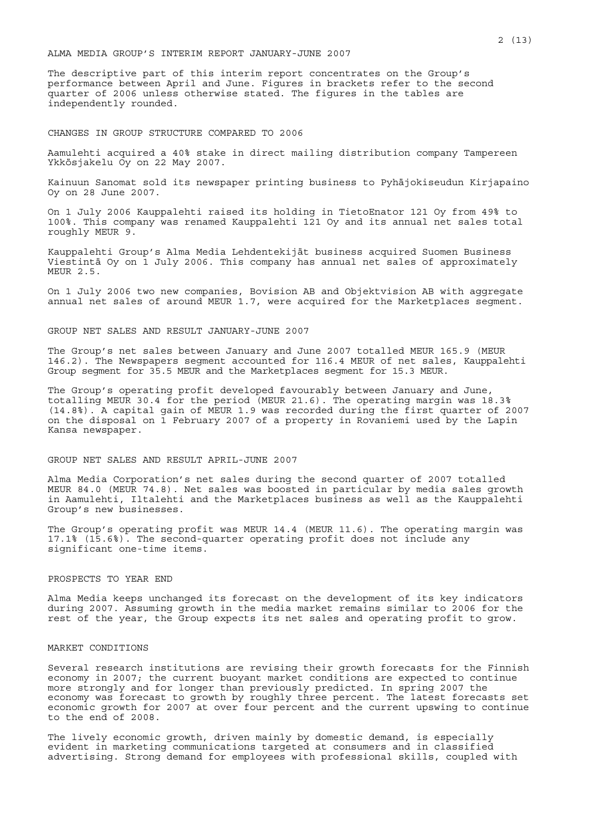## ALMA MEDIA GROUP'S INTERIM REPORT JANUARY-JUNE 2007

The descriptive part of this interim report concentrates on the Group's performance between April and June. Figures in brackets refer to the second quarter of 2006 unless otherwise stated. The figures in the tables are independently rounded.

#### CHANGES IN GROUP STRUCTURE COMPARED TO 2006

Aamulehti acquired a 40% stake in direct mailing distribution company Tampereen Ykkösjakelu Oy on 22 May 2007.

Kainuun Sanomat sold its newspaper printing business to Pyhäjokiseudun Kirjapaino Oy on 28 June 2007.

On 1 July 2006 Kauppalehti raised its holding in TietoEnator 121 Oy from 49% to 100%. This company was renamed Kauppalehti 121 Oy and its annual net sales total roughly MEUR 9.

Kauppalehti Group's Alma Media Lehdentekijät business acquired Suomen Business Viestintä Oy on 1 July 2006. This company has annual net sales of approximately MEUR 2.5.

On 1 July 2006 two new companies, Bovision AB and Objektvision AB with aggregate annual net sales of around MEUR 1.7, were acquired for the Marketplaces segment.

## GROUP NET SALES AND RESULT JANUARY-JUNE 2007

The Group's net sales between January and June 2007 totalled MEUR 165.9 (MEUR 146.2). The Newspapers segment accounted for 116.4 MEUR of net sales, Kauppalehti Group segment for 35.5 MEUR and the Marketplaces segment for 15.3 MEUR.

The Group's operating profit developed favourably between January and June, totalling MEUR 30.4 for the period (MEUR 21.6). The operating margin was 18.3% (14.8%). A capital gain of MEUR 1.9 was recorded during the first quarter of 2007 on the disposal on 1 February 2007 of a property in Rovaniemi used by the Lapin Kansa newspaper.

## GROUP NET SALES AND RESULT APRIL-JUNE 2007

Alma Media Corporation's net sales during the second quarter of 2007 totalled MEUR 84.0 (MEUR 74.8). Net sales was boosted in particular by media sales growth in Aamulehti, Iltalehti and the Marketplaces business as well as the Kauppalehti Group's new businesses.

The Group's operating profit was MEUR 14.4 (MEUR 11.6). The operating margin was 17.1% (15.6%). The second-quarter operating profit does not include any significant one-time items.

## PROSPECTS TO YEAR END

Alma Media keeps unchanged its forecast on the development of its key indicators during 2007. Assuming growth in the media market remains similar to 2006 for the rest of the year, the Group expects its net sales and operating profit to grow.

## MARKET CONDITIONS

Several research institutions are revising their growth forecasts for the Finnish economy in 2007; the current buoyant market conditions are expected to continue more strongly and for longer than previously predicted. In spring 2007 the economy was forecast to growth by roughly three percent. The latest forecasts set economic growth for 2007 at over four percent and the current upswing to continue to the end of 2008.

The lively economic growth, driven mainly by domestic demand, is especially evident in marketing communications targeted at consumers and in classified advertising. Strong demand for employees with professional skills, coupled with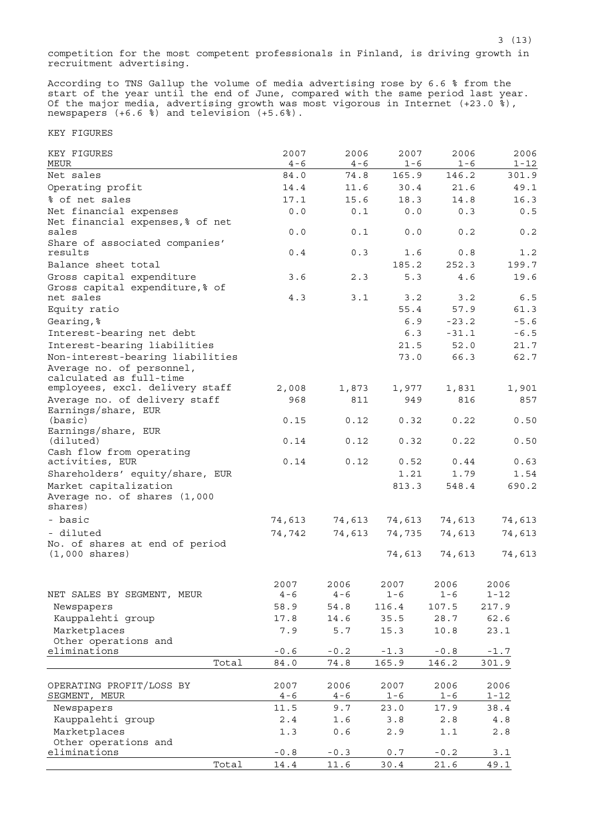competition for the most competent professionals in Finland, is driving growth in recruitment advertising.

According to TNS Gallup the volume of media advertising rose by 6.6 % from the start of the year until the end of June, compared with the same period last year. Of the major media, advertising growth was most vigorous in Internet (+23.0 %), newspapers (+6.6 %) and television (+5.6%).

KEY FIGURES

| KEY FIGURES<br>MEUR                                        | 2007<br>$4 - 6$ | 2006<br>$4 - 6$ | 2007<br>$1 - 6$ | 2006<br>$1 - 6$ | 2006<br>$1 - 12$ |
|------------------------------------------------------------|-----------------|-----------------|-----------------|-----------------|------------------|
| Net sales                                                  | 84.0            | 74.8            | 165.9           | 146.2           | 301.9            |
| Operating profit                                           | 14.4            | 11.6            | 30.4            | 21.6            | 49.1             |
| % of net sales                                             | 17.1            | 15.6            | 18.3            | 14.8            | 16.3             |
| Net financial expenses                                     | 0.0             | 0.1             | 0.0             | 0.3             | 0.5              |
| Net financial expenses, % of net                           |                 |                 |                 |                 |                  |
| sales                                                      | 0.0             | 0.1             | 0.0             | 0.2             | 0.2              |
| Share of associated companies'                             |                 |                 |                 |                 |                  |
| results                                                    | 0.4             | 0.3             | 1.6             | 0.8             | 1.2              |
| Balance sheet total                                        |                 |                 | 185.2           | 252.3           | 199.7            |
| Gross capital expenditure                                  | 3.6             | 2.3             | 5.3             | 4.6             | 19.6             |
| Gross capital expenditure, % of                            |                 |                 |                 |                 |                  |
| net sales                                                  | 4.3             | 3.1             | 3.2             | 3.2             | 6.5              |
| Equity ratio                                               |                 |                 | 55.4            | 57.9            | 61.3             |
| Gearing, %                                                 |                 |                 | 6.9             | $-23.2$         | $-5.6$           |
| Interest-bearing net debt                                  |                 |                 | 6.3             | $-31.1$         | $-6.5$           |
| Interest-bearing liabilities                               |                 |                 | 21.5            | 52.0            | 21.7             |
| Non-interest-bearing liabilities                           |                 |                 | 73.0            | 66.3            | 62.7             |
| Average no. of personnel,<br>calculated as full-time       |                 |                 |                 |                 |                  |
| employees, excl. delivery staff                            | 2,008           | 1,873           | 1,977           | 1,831           | 1,901            |
| Average no. of delivery staff                              | 968             | 811             | 949             | 816             | 857              |
| Earnings/share, EUR                                        |                 |                 |                 |                 |                  |
| (basic)                                                    | 0.15            | 0.12            | 0.32            | 0.22            | 0.50             |
| Earnings/share, EUR                                        |                 |                 |                 |                 |                  |
| (diluted)                                                  | 0.14            | 0.12            | 0.32            | 0.22            | 0.50             |
| Cash flow from operating                                   |                 |                 |                 |                 |                  |
| activities, EUR                                            | 0.14            | 0.12            | 0.52            | 0.44            | 0.63             |
| Shareholders' equity/share, EUR                            |                 |                 | 1.21            | 1.79            | 1.54             |
| Market capitalization                                      |                 |                 | 813.3           | 548.4           | 690.2            |
| Average no. of shares (1,000<br>shares)                    |                 |                 |                 |                 |                  |
| - basic                                                    |                 |                 |                 |                 |                  |
|                                                            | 74,613          | 74,613          | 74,613          | 74,613          | 74,613           |
| - diluted                                                  | 74,742          | 74,613          | 74,735          | 74,613          | 74,613           |
| No. of shares at end of period<br>$(1,000 \text{ shares})$ |                 |                 | 74,613          | 74,613          | 74,613           |
|                                                            |                 |                 |                 |                 |                  |
|                                                            |                 |                 |                 |                 |                  |
|                                                            | 2007            | 2006            | 2007            | 2006            | 2006             |
| NET SALES BY SEGMENT, MEUR                                 | $4 - 6$         | $4 - 6$         | 1-6             | 1-6             | 1-12             |
| Newspapers                                                 | 58.9            | 54.8            | 116.4           | 107.5           | 217.9            |
| Kauppalehti group                                          | 17.8            | 14.6            | 35.5            | 28.7            | 62.6             |
| Marketplaces                                               | 7.9             | 5.7             | 15.3            | 10.8            | 23.1             |
| Other operations and<br>eliminations                       |                 |                 |                 |                 |                  |
| Total                                                      | $-0.6$          | $-0.2$          | $-1.3$          | $-0.8$          | $-1.7$           |
|                                                            | 84.0            | 74.8            | 165.9           | 146.2           | 301.9            |
| OPERATING PROFIT/LOSS BY                                   | 2007            | 2006            | 2007            | 2006            | 2006             |
| SEGMENT, MEUR                                              | $4 - 6$         | $4 - 6$         | $1 - 6$         | $1 - 6$         | 1-12             |
| Newspapers                                                 | 11.5            | 9.7             | 23.0            | 17.9            | 38.4             |
| Kauppalehti group                                          | 2.4             | 1.6             | 3.8             | 2.8             | $4.8$            |
| Marketplaces                                               | 1.3             | $0.6$           | 2.9             | 1.1             | 2.8              |
| Other operations and                                       |                 |                 |                 |                 |                  |
| eliminations                                               | $-0.8$          | $-0.3$          | 0.7             | $-0.2$          | 3.1              |
| Total                                                      | 14.4            | 11.6            | 30.4            | 21.6            | 49.1             |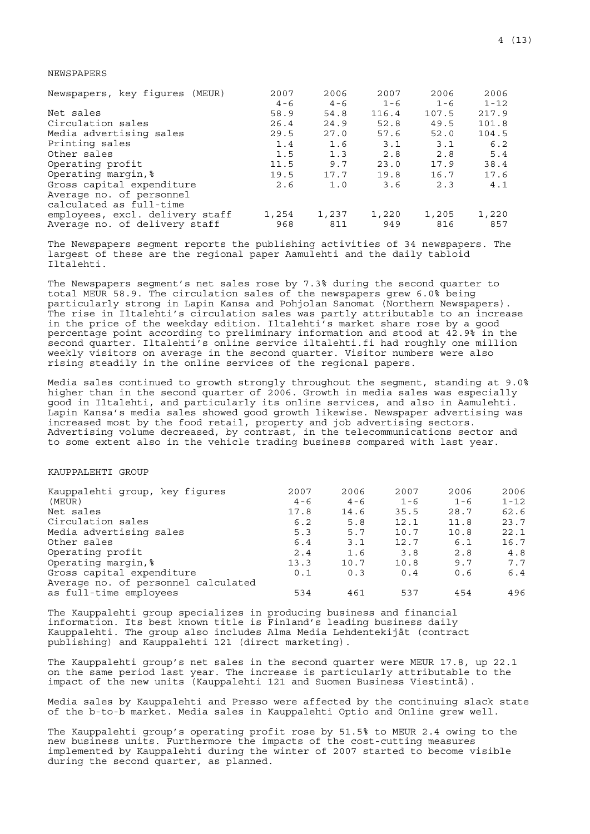# NEWSPAPERS

| Newspapers, key figures (MEUR)  | 2007    | 2006    | 2007    | 2006    | 2006     |
|---------------------------------|---------|---------|---------|---------|----------|
|                                 | $4 - 6$ | $4 - 6$ | $1 - 6$ | $1 - 6$ | $1 - 12$ |
| Net sales                       | 58.9    | 54.8    | 116.4   | 107.5   | 217.9    |
| Circulation sales               | 26.4    | 24.9    | 52.8    | 49.5    | 101.8    |
| Media advertising sales         | 29.5    | 27.0    | 57.6    | 52.0    | 104.5    |
| Printing sales                  | 1.4     | 1.6     | 3.1     | 3.1     | 6.2      |
| Other sales                     | 1.5     | 1.3     | 2.8     | 2.8     | 5.4      |
| Operating profit                | 11.5    | 9.7     | 23.0    | 17.9    | 38.4     |
| Operating margin, %             | 19.5    | 17.7    | 19.8    | 16.7    | 17.6     |
| Gross capital expenditure       | 2.6     | 1.0     | 3.6     | 2.3     | 4.1      |
| Average no. of personnel        |         |         |         |         |          |
| calculated as full-time         |         |         |         |         |          |
| employees, excl. delivery staff | 1,254   | 1,237   | 1,220   | 1,205   | 1,220    |
| Average no. of delivery staff   | 968     | 811     | 949     | 816     | 857      |

The Newspapers segment reports the publishing activities of 34 newspapers. The largest of these are the regional paper Aamulehti and the daily tabloid Iltalehti.

The Newspapers segment's net sales rose by 7.3% during the second quarter to total MEUR 58.9. The circulation sales of the newspapers grew 6.0% being particularly strong in Lapin Kansa and Pohjolan Sanomat (Northern Newspapers). The rise in Iltalehti's circulation sales was partly attributable to an increase in the price of the weekday edition. Iltalehti's market share rose by a good percentage point according to preliminary information and stood at 42.9% in the second quarter. Iltalehti's online service iltalehti.fi had roughly one million weekly visitors on average in the second quarter. Visitor numbers were also rising steadily in the online services of the regional papers.

Media sales continued to growth strongly throughout the segment, standing at 9.0% higher than in the second quarter of 2006. Growth in media sales was especially good in Iltalehti, and particularly its online services, and also in Aamulehti. Lapin Kansa's media sales showed good growth likewise. Newspaper advertising was increased most by the food retail, property and job advertising sectors. Advertising volume decreased, by contrast, in the telecommunications sector and to some extent also in the vehicle trading business compared with last year.

## KAUPPALEHTI GROUP

| Kauppalehti group, key figures      | 2007    | 2006    | 2007    | 2006    | 2006     |
|-------------------------------------|---------|---------|---------|---------|----------|
| (MEUR)                              | $4 - 6$ | $4 - 6$ | $1 - 6$ | $1 - 6$ | $1 - 12$ |
| Net sales                           | 17.8    | 14.6    | 35.5    | 28.7    | 62.6     |
| Circulation sales                   | 6.2     | 5.8     | 12.1    | 11.8    | 23.7     |
| Media advertising sales             | 5.3     | 5.7     | 10.7    | 10.8    | 22.1     |
| Other sales                         | 6.4     | 3.1     | 12.7    | 6.1     | 16.7     |
| Operating profit                    | 2.4     | 1.6     | 3.8     | 2.8     | 4.8      |
| Operating margin, %                 | 13.3    | 10.7    | 10.8    | 9.7     | 7.7      |
| Gross capital expenditure           | 0.1     | 0.3     | 0.4     | 0.6     | 6.4      |
| Average no. of personnel calculated |         |         |         |         |          |
| as full-time employees              | 534     | 461     | 537     | 454     | 496      |

The Kauppalehti group specializes in producing business and financial information. Its best known title is Finland's leading business daily Kauppalehti. The group also includes Alma Media Lehdentekijät (contract publishing) and Kauppalehti 121 (direct marketing).

The Kauppalehti group's net sales in the second quarter were MEUR 17.8, up 22.1 on the same period last year. The increase is particularly attributable to the impact of the new units (Kauppalehti 121 and Suomen Business Viestintä).

Media sales by Kauppalehti and Presso were affected by the continuing slack state of the b-to-b market. Media sales in Kauppalehti Optio and Online grew well.

The Kauppalehti group's operating profit rose by 51.5% to MEUR 2.4 owing to the new business units. Furthermore the impacts of the cost-cutting measures implemented by Kauppalehti during the winter of 2007 started to become visible during the second quarter, as planned.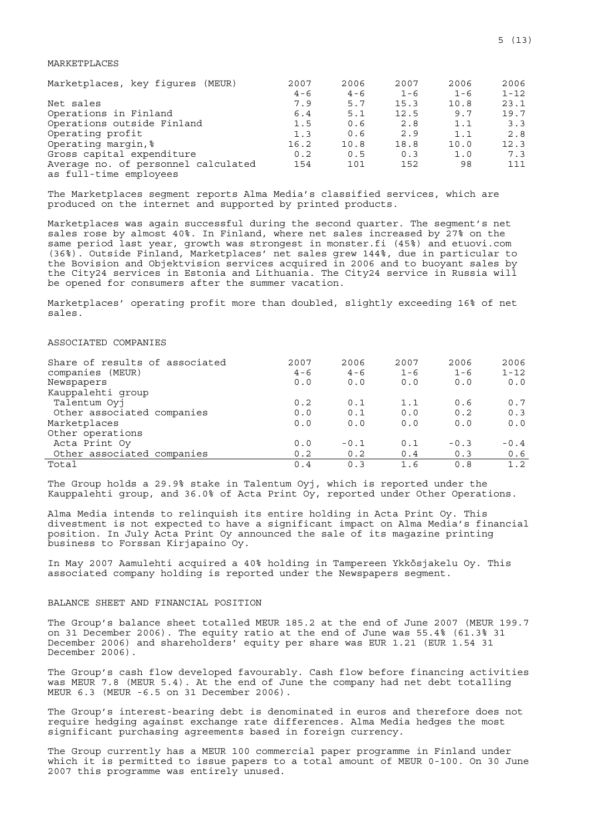## MARKETPLACES

| Marketplaces, key fiqures (MEUR)    | 2007    | 2006    | 2007    | 2006    | 2006     |
|-------------------------------------|---------|---------|---------|---------|----------|
|                                     | $4 - 6$ | $4 - 6$ | $1 - 6$ | $1 - 6$ | $1 - 12$ |
| Net sales                           | 7.9     | 5.7     | 15.3    | 10.8    | 23.1     |
| Operations in Finland               | 6.4     | 5.1     | 12.5    | 9.7     | 19.7     |
| Operations outside Finland          | 1.5     | 0.6     | 2.8     | 1.1     | 3.3      |
| Operating profit                    | 1.3     | 0.6     | 2.9     | 1.1     | 2.8      |
| Operating margin, %                 | 16.2    | 10.8    | 18.8    | 10.0    | 12.3     |
| Gross capital expenditure           | 0.2     | 0.5     | 0.3     | 1.0     | 7.3      |
| Average no. of personnel calculated | 154     | 101     | 152     | 98      | 111      |
| as full-time employees              |         |         |         |         |          |

The Marketplaces segment reports Alma Media's classified services, which are produced on the internet and supported by printed products.

Marketplaces was again successful during the second quarter. The segment's net sales rose by almost 40%. In Finland, where net sales increased by 27% on the same period last year, growth was strongest in monster.fi (45%) and etuovi.com (36%). Outside Finland, Marketplaces' net sales grew 144%, due in particular to the Bovision and Objektvision services acquired in 2006 and to buoyant sales by the City24 services in Estonia and Lithuania. The City24 service in Russia will be opened for consumers after the summer vacation.

Marketplaces' operating profit more than doubled, slightly exceeding 16% of net sales.

## ASSOCIATED COMPANIES

| Share of results of associated | 2007    | 2006    | 2007    | 2006    | 2006     |
|--------------------------------|---------|---------|---------|---------|----------|
| companies (MEUR)               | $4 - 6$ | $4 - 6$ | $1 - 6$ | $1 - 6$ | $1 - 12$ |
| Newspapers                     | 0.0     | 0.0     | 0.0     | 0.0     | 0.0      |
| Kauppalehti group              |         |         |         |         |          |
| Talentum Oyj                   | 0.2     | 0.1     | 1.1     | 0.6     | 0.7      |
| Other associated companies     | 0.0     | 0.1     | 0.0     | 0.2     | 0.3      |
| Marketplaces                   | 0.0     | 0.0     | 0.0     | 0.0     | 0.0      |
| Other operations               |         |         |         |         |          |
| Acta Print Oy                  | 0.0     | $-0.1$  | 0.1     | $-0.3$  | $-0.4$   |
| Other associated companies     | 0.2     | 0.2     | 0.4     | 0.3     | 0.6      |
| Total                          | 0.4     | 0.3     | 1.6     | 0.8     | 1.2      |

The Group holds a 29.9% stake in Talentum Oyj, which is reported under the Kauppalehti group, and 36.0% of Acta Print Oy, reported under Other Operations.

Alma Media intends to relinquish its entire holding in Acta Print Oy. This divestment is not expected to have a significant impact on Alma Media's financial position. In July Acta Print Oy announced the sale of its magazine printing business to Forssan Kirjapaino Oy.

In May 2007 Aamulehti acquired a 40% holding in Tampereen Ykkösjakelu Oy. This associated company holding is reported under the Newspapers segment.

## BALANCE SHEET AND FINANCIAL POSITION

The Group's balance sheet totalled MEUR 185.2 at the end of June 2007 (MEUR 199.7 on 31 December 2006). The equity ratio at the end of June was 55.4% (61.3% 31 December 2006) and shareholders' equity per share was EUR 1.21 (EUR 1.54 31 December 2006).

The Group's cash flow developed favourably. Cash flow before financing activities was MEUR 7.8 (MEUR 5.4). At the end of June the company had net debt totalling MEUR 6.3 (MEUR -6.5 on 31 December 2006).

The Group's interest-bearing debt is denominated in euros and therefore does not require hedging against exchange rate differences. Alma Media hedges the most significant purchasing agreements based in foreign currency.

The Group currently has a MEUR 100 commercial paper programme in Finland under which it is permitted to issue papers to a total amount of MEUR 0-100. On 30 June 2007 this programme was entirely unused.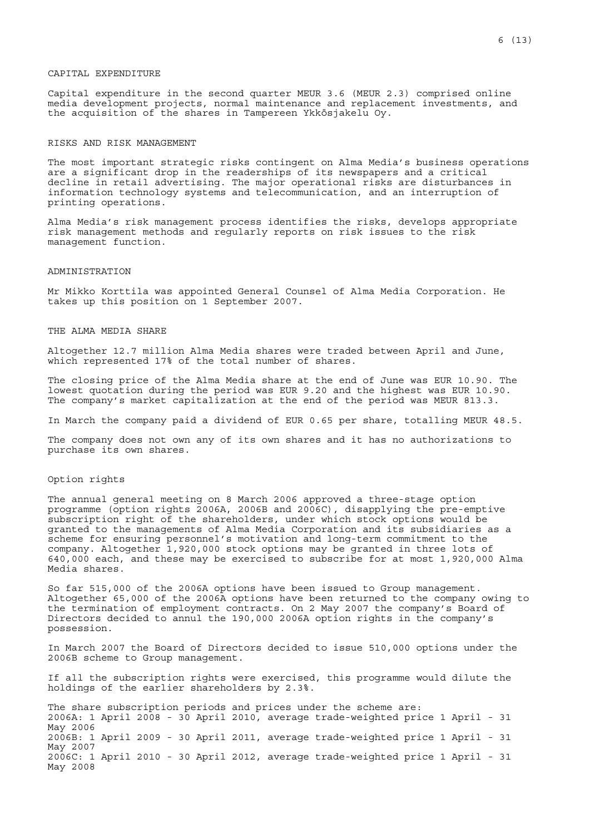Capital expenditure in the second quarter MEUR 3.6 (MEUR 2.3) comprised online media development projects, normal maintenance and replacement investments, and the acquisition of the shares in Tampereen Ykkösjakelu Oy.

#### RISKS AND RISK MANAGEMENT

The most important strategic risks contingent on Alma Media's business operations are a significant drop in the readerships of its newspapers and a critical decline in retail advertising. The major operational risks are disturbances in information technology systems and telecommunication, and an interruption of printing operations.

Alma Media's risk management process identifies the risks, develops appropriate risk management methods and regularly reports on risk issues to the risk management function.

#### ADMINISTRATION

Mr Mikko Korttila was appointed General Counsel of Alma Media Corporation. He takes up this position on 1 September 2007.

## THE ALMA MEDIA SHARE

Altogether 12.7 million Alma Media shares were traded between April and June, which represented 17% of the total number of shares.

The closing price of the Alma Media share at the end of June was EUR 10.90. The lowest quotation during the period was EUR 9.20 and the highest was EUR 10.90. The company's market capitalization at the end of the period was MEUR 813.3.

In March the company paid a dividend of EUR 0.65 per share, totalling MEUR 48.5.

The company does not own any of its own shares and it has no authorizations to purchase its own shares.

#### Option rights

The annual general meeting on 8 March 2006 approved a three-stage option programme (option rights 2006A, 2006B and 2006C), disapplying the pre-emptive subscription right of the shareholders, under which stock options would be granted to the managements of Alma Media Corporation and its subsidiaries as a scheme for ensuring personnel's motivation and long-term commitment to the company. Altogether 1,920,000 stock options may be granted in three lots of 640,000 each, and these may be exercised to subscribe for at most 1,920,000 Alma Media shares.

So far 515,000 of the 2006A options have been issued to Group management. Altogether 65,000 of the 2006A options have been returned to the company owing to the termination of employment contracts. On 2 May 2007 the company's Board of Directors decided to annul the 190,000 2006A option rights in the company's possession.

In March 2007 the Board of Directors decided to issue 510,000 options under the 2006B scheme to Group management.

If all the subscription rights were exercised, this programme would dilute the holdings of the earlier shareholders by 2.3%.

The share subscription periods and prices under the scheme are: 2006A: 1 April 2008 - 30 April 2010, average trade-weighted price 1 April - 31 May 2006 2006B: 1 April 2009 - 30 April 2011, average trade-weighted price 1 April - 31 May 2007 2006C: 1 April 2010 - 30 April 2012, average trade-weighted price 1 April - 31 May 2008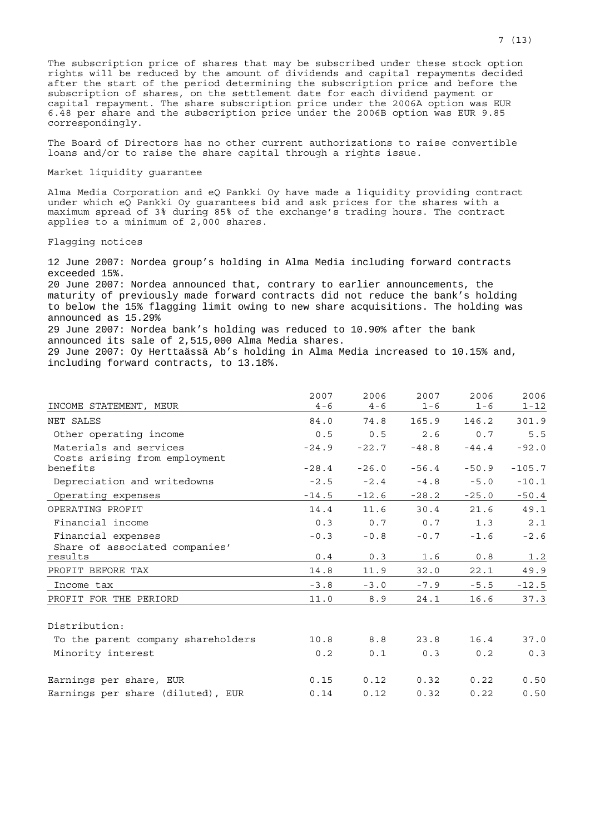The subscription price of shares that may be subscribed under these stock option rights will be reduced by the amount of dividends and capital repayments decided after the start of the period determining the subscription price and before the subscription of shares, on the settlement date for each dividend payment or capital repayment. The share subscription price under the 2006A option was EUR 6.48 per share and the subscription price under the 2006B option was EUR 9.85 correspondingly.

The Board of Directors has no other current authorizations to raise convertible loans and/or to raise the share capital through a rights issue.

## Market liquidity guarantee

Alma Media Corporation and eQ Pankki Oy have made a liquidity providing contract under which eQ Pankki Oy guarantees bid and ask prices for the shares with a maximum spread of 3% during 85% of the exchange's trading hours. The contract applies to a minimum of 2,000 shares.

## Flagging notices

12 June 2007: Nordea group's holding in Alma Media including forward contracts exceeded 15%.

20 June 2007: Nordea announced that, contrary to earlier announcements, the maturity of previously made forward contracts did not reduce the bank's holding to below the 15% flagging limit owing to new share acquisitions. The holding was announced as 15.29%

29 June 2007: Nordea bank's holding was reduced to 10.90% after the bank announced its sale of 2,515,000 Alma Media shares. 29 June 2007: Oy Herttaässä Ab's holding in Alma Media increased to 10.15% and,

including forward contracts, to 13.18%.

|                                                         | 2007    | 2006    | 2007    | 2006    | 2006     |
|---------------------------------------------------------|---------|---------|---------|---------|----------|
| INCOME STATEMENT, MEUR                                  | $4 - 6$ | $4 - 6$ | $1 - 6$ | $1 - 6$ | $1 - 12$ |
| NET SALES                                               | 84.0    | 74.8    | 165.9   | 146.2   | 301.9    |
| Other operating income                                  | 0.5     | 0.5     | 2.6     | 0.7     | 5.5      |
| Materials and services<br>Costs arising from employment | $-24.9$ | $-22.7$ | $-48.8$ | $-44.4$ | $-92.0$  |
| benefits                                                | $-28.4$ | $-26.0$ | $-56.4$ | $-50.9$ | $-105.7$ |
| Depreciation and writedowns                             | $-2.5$  | $-2.4$  | $-4.8$  | $-5.0$  | $-10.1$  |
| Operating expenses                                      | $-14.5$ | $-12.6$ | $-28.2$ | $-25.0$ | $-50.4$  |
| OPERATING PROFIT                                        | 14.4    | 11.6    | 30.4    | 21.6    | 49.1     |
| Financial income                                        | 0.3     | 0.7     | 0.7     | 1.3     | 2.1      |
| Financial expenses                                      | $-0.3$  | $-0.8$  | $-0.7$  | $-1.6$  | $-2.6$   |
| Share of associated companies'                          |         |         |         |         |          |
| results                                                 | 0.4     | 0.3     | 1.6     | 0.8     | 1.2      |
| PROFIT BEFORE TAX                                       | 14.8    | 11.9    | 32.0    | 22.1    | 49.9     |
| Income tax                                              | $-3.8$  | $-3.0$  | $-7.9$  | $-5.5$  | $-12.5$  |
| PROFIT FOR THE PERIORD                                  | 11.0    | 8.9     | 24.1    | 16.6    | 37.3     |
| Distribution:                                           |         |         |         |         |          |
| To the parent company shareholders                      | 10.8    | 8.8     | 23.8    | 16.4    | 37.0     |
| Minority interest                                       | 0.2     | 0.1     | 0.3     | 0.2     | 0.3      |
| Earnings per share, EUR                                 | 0.15    | 0.12    | 0.32    | 0.22    | 0.50     |
| Earnings per share (diluted), EUR                       | 0.14    | 0.12    | 0.32    | 0.22    | 0.50     |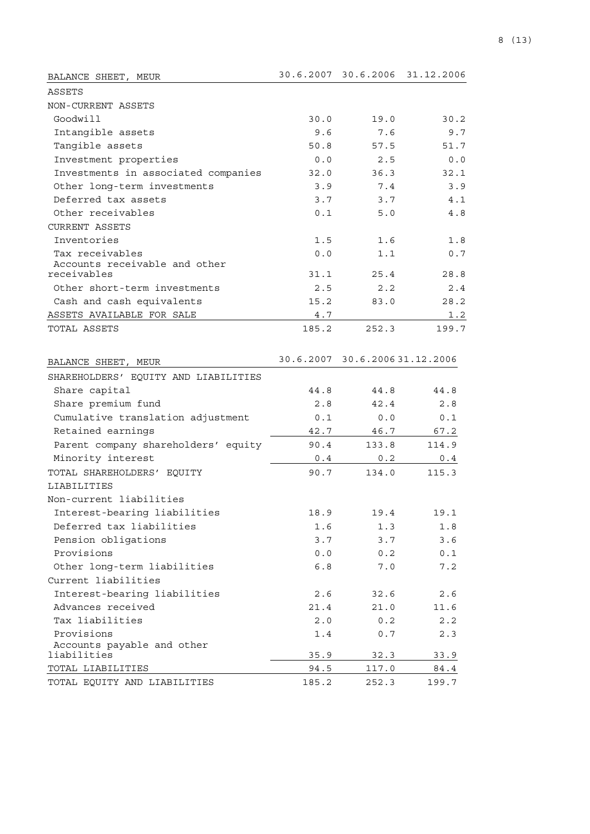| BALANCE SHEET, MEUR                  |       | 30.6.2007 30.6.2006           | 31.12.2006 |
|--------------------------------------|-------|-------------------------------|------------|
| ASSETS                               |       |                               |            |
| NON-CURRENT ASSETS                   |       |                               |            |
| Goodwill                             | 30.0  | 19.0                          | 30.2       |
| Intangible assets                    | 9.6   | 7.6                           | 9.7        |
| Tangible assets                      | 50.8  | 57.5                          | 51.7       |
| Investment properties                | 0.0   | 2.5                           | 0.0        |
| Investments in associated companies  | 32.0  | 36.3                          | 32.1       |
| Other long-term investments          | 3.9   | 7.4                           | 3.9        |
| Deferred tax assets                  | 3.7   | 3.7                           | 4.1        |
| Other receivables                    | 0.1   | 5.0                           | 4.8        |
| <b>CURRENT ASSETS</b>                |       |                               |            |
| Inventories                          | 1.5   | 1.6                           | 1.8        |
| Tax receivables                      | 0.0   | 1.1                           | 0.7        |
| Accounts receivable and other        |       |                               |            |
| receivables                          | 31.1  | 25.4                          | 28.8       |
| Other short-term investments         | 2.5   | 2.2                           | 2.4        |
| Cash and cash equivalents            | 15.2  | 83.0                          | 28.2       |
| ASSETS AVAILABLE FOR SALE            | 4.7   |                               | 1.2        |
| TOTAL ASSETS                         | 185.2 | 252.3                         | 199.7      |
| BALANCE SHEET, MEUR                  |       | 30.6.2007 30.6.200631.12.2006 |            |
| SHAREHOLDERS' EQUITY AND LIABILITIES |       |                               |            |
| Share capital                        | 44.8  | 44.8                          | 44.8       |
| Share premium fund                   | 2.8   | 42.4                          | 2.8        |
| Cumulative translation adjustment    | 0.1   | 0.0                           | 0.1        |
| Retained earnings                    | 42.7  | 46.7                          | 67.2       |
| Parent company shareholders' equity  | 90.4  | 133.8                         | 114.9      |
| Minority interest                    | 0.4   | 0.2                           | 0.4        |
| TOTAL SHAREHOLDERS' EQUITY           | 90.7  | 134.0                         | 115.3      |
| LIABILITIES                          |       |                               |            |
| Non-current liabilities              |       |                               |            |
| Interest-bearing liabilities         | 18.9  | 19.4                          | 19.1       |
| Deferred tax liabilities             | 1.6   | 1.3                           | 1.8        |
| Pension obligations                  | 3.7   | 3.7                           | 3.6        |
| Provisions                           | 0.0   | 0.2                           | 0.1        |
| Other long-term liabilities          | 6.8   | 7.0                           | 7.2        |
| Current liabilities                  |       |                               |            |
| Interest-bearing liabilities         | 2.6   | 32.6                          | 2.6        |
| Advances received                    | 21.4  | 21.0                          | 11.6       |
| Tax liabilities                      | 2.0   | 0.2                           | 2.2        |
| Provisions                           | 1.4   | 0.7                           | 2.3        |
| Accounts payable and other           |       |                               |            |
| liabilities                          | 35.9  | 32.3                          | 33.9       |
| TOTAL LIABILITIES                    | 94.5  | 117.0                         | 84.4       |
| TOTAL EQUITY AND LIABILITIES         | 185.2 | 252.3                         | 199.7      |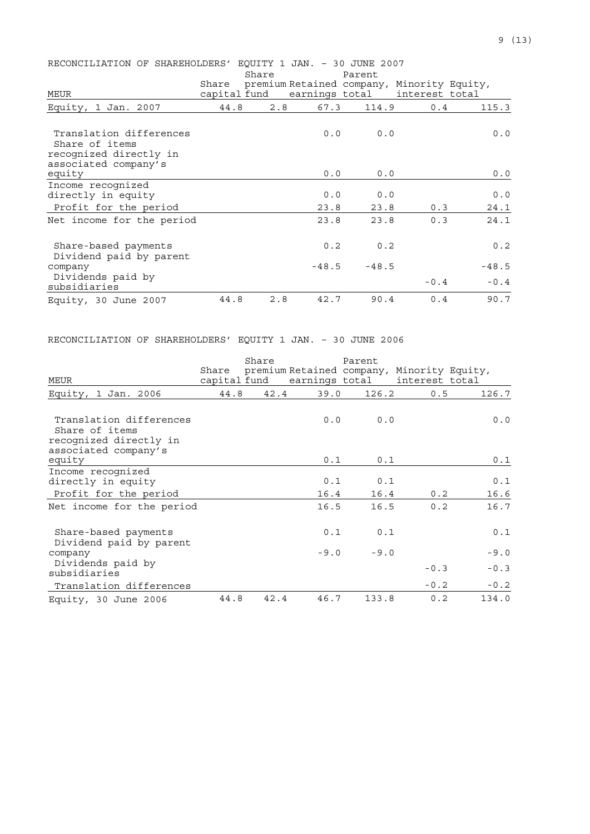| RECONCILIATION OF SHAREHOLDERS' EOUITY 1 JAN. - 30 JUNE 2007     |                             |       |         |                                            |                |         |
|------------------------------------------------------------------|-----------------------------|-------|---------|--------------------------------------------|----------------|---------|
|                                                                  |                             | Share |         | Parent                                     |                |         |
|                                                                  | Share                       |       |         | premium Retained company, Minority Equity, |                |         |
| MEUR                                                             | capital fund earnings total |       |         |                                            | interest total |         |
| Equity,<br>1 Jan. 2007                                           | 44.8                        | 2.8   | 67.3    | 114.9                                      | 0.4            | 115.3   |
| Translation differences                                          |                             |       | 0.0     | 0.0                                        |                | 0.0     |
| Share of items<br>recognized directly in<br>associated company's |                             |       |         |                                            |                |         |
| equity                                                           |                             |       | 0.0     | 0.0                                        |                | 0.0     |
| Income recognized<br>directly in equity                          |                             |       | 0.0     | 0.0                                        |                | 0.0     |
| Profit for the period                                            |                             |       | 23.8    | 23.8                                       | 0.3            | 24.1    |
| Net income for the period                                        |                             |       | 23.8    | 23.8                                       | 0.3            | 24.1    |
| Share-based payments<br>Dividend paid by parent                  |                             |       | 0.2     | 0.2                                        |                | 0.2     |
| company                                                          |                             |       | $-48.5$ | $-48.5$                                    |                | $-48.5$ |
| Dividends paid by<br>subsidiaries                                |                             |       |         |                                            | $-0.4$         | $-0.4$  |
| Equity, 30 June 2007                                             | 44.8                        | 2.8   | 42.7    | 90.4                                       | 0.4            | 90.7    |

# RECONCILIATION OF SHAREHOLDERS' EQUITY 1 JAN. – 30 JUNE 2006

|                                                                     |       | Share |                                                                           | Parent |                |        |
|---------------------------------------------------------------------|-------|-------|---------------------------------------------------------------------------|--------|----------------|--------|
| MEUR                                                                | Share |       | premium Retained company, Minority Equity,<br>capital fund earnings total |        | interest total |        |
| Equity, 1 Jan. 2006                                                 | 44.8  | 42.4  | 39.0                                                                      | 126.2  | 0.5            | 126.7  |
| Translation differences<br>Share of items<br>recognized directly in |       |       | 0.0                                                                       | 0.0    |                | 0.0    |
| associated company's<br>equity                                      |       |       | 0.1                                                                       | 0.1    |                | 0.1    |
| Income recognized<br>directly in equity                             |       |       | 0.1                                                                       | 0.1    |                | 0.1    |
| Profit for the period                                               |       |       | 16.4                                                                      | 16.4   | 0.2            | 16.6   |
| Net income for the period                                           |       |       | 16.5                                                                      | 16.5   | 0.2            | 16.7   |
| Share-based payments<br>Dividend paid by parent                     |       |       | 0.1                                                                       | 0.1    |                | 0.1    |
| company                                                             |       |       | $-9.0$                                                                    | $-9.0$ |                | $-9.0$ |
| Dividends paid by<br>subsidiaries                                   |       |       |                                                                           |        | $-0.3$         | $-0.3$ |
| Translation differences                                             |       |       |                                                                           |        | $-0.2$         | $-0.2$ |
| Equity, 30 June 2006                                                | 44.8  | 42.4  | 46.7                                                                      | 133.8  | 0.2            | 134.0  |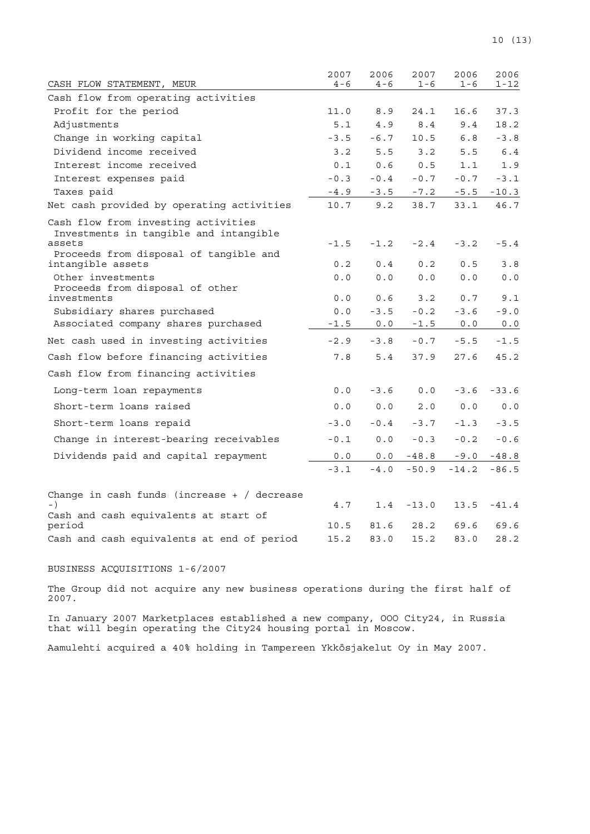| CASH FLOW STATEMENT, MEUR                                                               | 2007<br>$4 - 6$ | 2006<br>$4 - 6$ | 2007<br>$1 - 6$ | 2006<br>$1 - 6$ | 2006<br>1-12 |
|-----------------------------------------------------------------------------------------|-----------------|-----------------|-----------------|-----------------|--------------|
| Cash flow from operating activities                                                     |                 |                 |                 |                 |              |
| Profit for the period                                                                   | 11.0            | 8.9             | 24.1            | 16.6            | 37.3         |
| Adjustments                                                                             | 5.1             | 4.9             | 8.4             | 9.4             | 18.2         |
| Change in working capital                                                               | $-3.5$          | $-6.7$          | 10.5            | 6.8             | $-3.8$       |
| Dividend income received                                                                | 3.2             | 5.5             | 3.2             | 5.5             | 6.4          |
| Interest income received                                                                | 0.1             | 0.6             | 0.5             | 1.1             | 1.9          |
| Interest expenses paid                                                                  | $-0.3$          | $-0.4$          | $-0.7$          | $-0.7$          | $-3.1$       |
| Taxes paid                                                                              | $-4.9$          | $-3.5$          | $-7.2$          | $-5.5$          | $-10.3$      |
| Net cash provided by operating activities                                               | 10.7            | 9.2             | 38.7            | 33.1            | 46.7         |
| Cash flow from investing activities<br>Investments in tangible and intangible<br>assets | $-1.5$          | $-1.2$          | $-2.4$          | $-3.2$          | $-5.4$       |
| Proceeds from disposal of tangible and<br>intangible assets                             | 0.2             | 0.4             | 0.2             | 0.5             | 3.8          |
| Other investments<br>Proceeds from disposal of other                                    | 0.0             | 0.0             | 0.0             | 0.0             | 0.0          |
| investments                                                                             | 0.0             | 0.6             | 3.2             | 0.7             | 9.1          |
| Subsidiary shares purchased                                                             | 0.0             | $-3.5$          | $-0.2$          | $-3.6$          | $-9.0$       |
| Associated company shares purchased                                                     | $-1.5$          | 0.0             | $-1.5$          | 0.0             | 0.0          |
| Net cash used in investing activities                                                   | $-2.9$          | $-3.8$          | $-0.7$          | $-5.5$          | $-1.5$       |
| Cash flow before financing activities                                                   | 7.8             | 5.4             | 37.9            | 27.6            | 45.2         |
| Cash flow from financing activities                                                     |                 |                 |                 |                 |              |
| Long-term loan repayments                                                               | 0.0             | $-3.6$          | 0.0             | $-3.6$          | $-33.6$      |
| Short-term loans raised                                                                 | 0.0             | 0.0             | 2.0             | 0.0             | 0.0          |
| Short-term loans repaid                                                                 | $-3.0$          | $-0.4$          | $-3.7$          | $-1.3$          | $-3.5$       |
| Change in interest-bearing receivables                                                  | $-0.1$          | 0.0             | $-0.3$          | $-0.2$          | $-0.6$       |
| Dividends paid and capital repayment                                                    | 0.0             | 0.0             | $-48.8$         | $-9.0$          | $-48.8\,$    |
|                                                                                         | $-3.1$          | $-4.0$          | $-50.9$         | $-14.2$         | $-86.5$      |
| Change in cash funds (increase $+$ / decrease<br>Cash and cash equivalents at start of  | 4.7             | 1.4             | $-13.0$         | 13.5            | $-41.4$      |
| period                                                                                  | 10.5            | 81.6            | 28.2            | 69.6            | 69.6         |
| Cash and cash equivalents at end of period                                              | 15.2            | 83.0            | 15.2            | 83.0            | 28.2         |

# BUSINESS ACQUISITIONS 1-6/2007

The Group did not acquire any new business operations during the first half of 2007.

In January 2007 Marketplaces established a new company, OOO City24, in Russia that will begin operating the City24 housing portal in Moscow.

Aamulehti acquired a 40% holding in Tampereen Ykkösjakelut Oy in May 2007.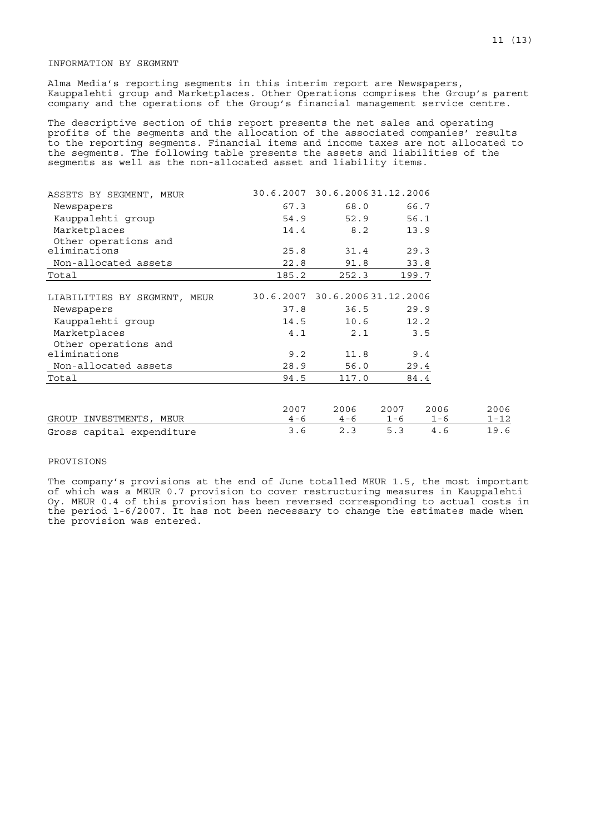## INFORMATION BY SEGMENT

Alma Media's reporting segments in this interim report are Newspapers, Kauppalehti group and Marketplaces. Other Operations comprises the Group's parent company and the operations of the Group's financial management service centre.

The descriptive section of this report presents the net sales and operating profits of the segments and the allocation of the associated companies' results to the reporting segments. Financial items and income taxes are not allocated to the segments. The following table presents the assets and liabilities of the segments as well as the non-allocated asset and liability items.

| ASSETS BY SEGMENT, MEUR      |       | 30.6.2007 30.6.200631.12.2006 |         |         |          |
|------------------------------|-------|-------------------------------|---------|---------|----------|
| Newspapers                   | 67.3  | 68.0                          |         | 66.7    |          |
| Kauppalehti group            | 54.9  | 52.9                          |         | 56.1    |          |
| Marketplaces                 | 14.4  | 8.2                           |         | 13.9    |          |
| Other operations and         |       |                               |         |         |          |
| eliminations                 | 25.8  | 31.4                          |         | 29.3    |          |
| Non-allocated assets         | 22.8  | 91.8                          |         | 33.8    |          |
| Total                        | 185.2 | 252.3                         | 199.7   |         |          |
|                              |       |                               |         |         |          |
| LIABILITIES BY SEGMENT, MEUR |       | 30.6.2007 30.6.200631.12.2006 |         |         |          |
| Newspapers                   | 37.8  | 36.5                          |         | 29.9    |          |
| Kauppalehti group            | 14.5  | 10.6                          |         | 12.2    |          |
| Marketplaces                 | 4.1   | 2.1                           |         | 3.5     |          |
| Other operations and         |       |                               |         |         |          |
| eliminations                 | 9.2   | 11.8                          |         | 9.4     |          |
| Non-allocated assets         | 28.9  | 56.0                          |         | 29.4    |          |
| Total                        | 94.5  | 117.0                         |         | 84.4    |          |
|                              |       |                               |         |         |          |
|                              | 2007  | 2006                          | 2007    | 2006    | 2006     |
| GROUP INVESTMENTS, MEUR      | 4 – 6 | $4 - 6$                       | $1 - 6$ | $1 - 6$ | $1 - 12$ |
| Gross capital expenditure    | 3.6   | 2.3                           | 5.3     | 4.6     | 19.6     |

## PROVISIONS

The company's provisions at the end of June totalled MEUR 1.5, the most important of which was a MEUR 0.7 provision to cover restructuring measures in Kauppalehti Oy. MEUR 0.4 of this provision has been reversed corresponding to actual costs in the period 1-6/2007. It has not been necessary to change the estimates made when the provision was entered.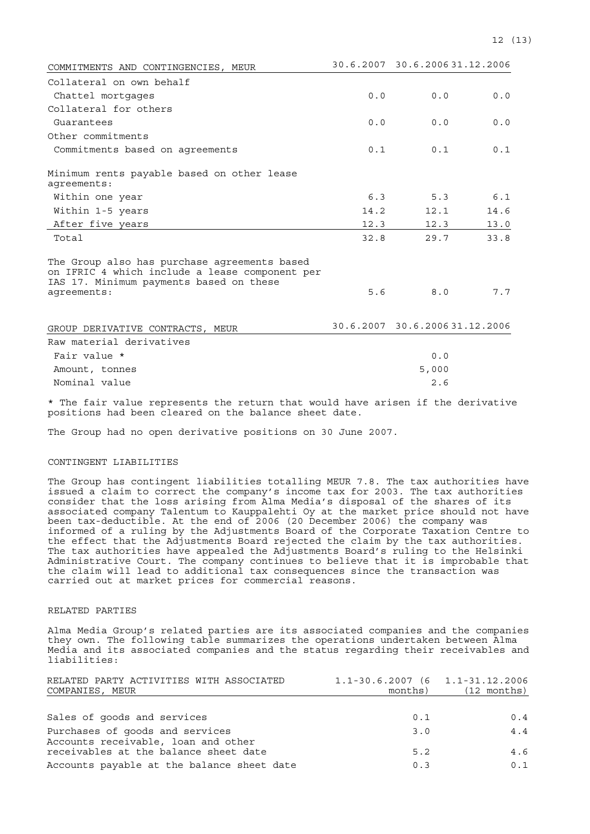| COMMITMENTS AND CONTINGENCIES, MEUR                                                                                                                      |      | 30.6.2007 30.6.200631.12.2006 |      |
|----------------------------------------------------------------------------------------------------------------------------------------------------------|------|-------------------------------|------|
| Collateral on own behalf                                                                                                                                 |      |                               |      |
| Chattel mortgages                                                                                                                                        | 0.0  | 0.0                           | 0.0  |
| Collateral for others                                                                                                                                    |      |                               |      |
| Guarantees                                                                                                                                               | 0.0  | 0.0                           | 0.0  |
| Other commitments                                                                                                                                        |      |                               |      |
| Commitments based on agreements                                                                                                                          | 0.1  | 0.1                           | 0.1  |
| Minimum rents payable based on other lease<br>aqreements:                                                                                                |      |                               |      |
| Within one year                                                                                                                                          | 6.3  | 5.3                           | 6.1  |
| Within 1-5 years                                                                                                                                         | 14.2 | 12.1                          | 14.6 |
| After five years                                                                                                                                         | 12.3 | 12.3                          | 13.0 |
| Total                                                                                                                                                    | 32.8 | 29.7                          | 33.8 |
| The Group also has purchase agreements based<br>on IFRIC 4 which include a lease component per<br>IAS 17. Minimum payments based on these<br>agreements: | 5.6  | 8.0                           | 7.7  |
| GROUP DERIVATIVE CONTRACTS, MEUR                                                                                                                         |      | 30.6.2007 30.6.200631.12.2006 |      |
| Raw material derivatives                                                                                                                                 |      |                               |      |

| 0.0   |
|-------|
| 5,000 |
| 2.6   |
|       |

\* The fair value represents the return that would have arisen if the derivative positions had been cleared on the balance sheet date.

The Group had no open derivative positions on 30 June 2007.

## CONTINGENT LIABILITIES

The Group has contingent liabilities totalling MEUR 7.8. The tax authorities have issued a claim to correct the company's income tax for 2003. The tax authorities consider that the loss arising from Alma Media's disposal of the shares of its associated company Talentum to Kauppalehti Oy at the market price should not have been tax-deductible. At the end of 2006 (20 December 2006) the company was informed of a ruling by the Adjustments Board of the Corporate Taxation Centre to the effect that the Adjustments Board rejected the claim by the tax authorities. The tax authorities have appealed the Adjustments Board's ruling to the Helsinki Administrative Court. The company continues to believe that it is improbable that the claim will lead to additional tax consequences since the transaction was carried out at market prices for commercial reasons.

## RELATED PARTIES

Alma Media Group's related parties are its associated companies and the companies they own. The following table summarizes the operations undertaken between Alma Media and its associated companies and the status regarding their receivables and liabilities:

| RELATED PARTY ACTIVITIES WITH ASSOCIATED<br>COMPANIES, MEUR            | $1.1 - 30.6.2007$ (6 1.1-31.12.2006<br>months) | $(12 \text{ months})$ |
|------------------------------------------------------------------------|------------------------------------------------|-----------------------|
|                                                                        |                                                |                       |
| Sales of goods and services                                            | 0.1                                            | 0.4                   |
| Purchases of goods and services<br>Accounts receivable, loan and other | 3.0                                            | 4.4                   |
| receivables at the balance sheet date                                  | 5.2                                            | 4.6                   |
| Accounts payable at the balance sheet date                             | 0.3                                            | 0.1                   |